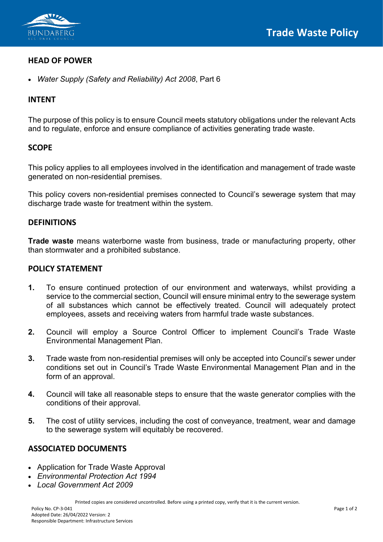

## **HEAD OF POWER**

• *Water Supply (Safety and Reliability) Act 2008*, Part 6

## **INTENT**

The purpose of this policy is to ensure Council meets statutory obligations under the relevant Acts and to regulate, enforce and ensure compliance of activities generating trade waste.

## **SCOPE**

This policy applies to all employees involved in the identification and management of trade waste generated on non-residential premises.

This policy covers non-residential premises connected to Council's sewerage system that may discharge trade waste for treatment within the system.

## **DEFINITIONS**

**Trade waste** means waterborne waste from business, trade or manufacturing property, other than stormwater and a prohibited substance.

#### **POLICY STATEMENT**

- **1.** To ensure continued protection of our environment and waterways, whilst providing a service to the commercial section, Council will ensure minimal entry to the sewerage system of all substances which cannot be effectively treated. Council will adequately protect employees, assets and receiving waters from harmful trade waste substances.
- **2.** Council will employ a Source Control Officer to implement Council's Trade Waste Environmental Management Plan.
- **3.** Trade waste from non-residential premises will only be accepted into Council's sewer under conditions set out in Council's Trade Waste Environmental Management Plan and in the form of an approval.
- **4.** Council will take all reasonable steps to ensure that the waste generator complies with the conditions of their approval.
- **5.** The cost of utility services, including the cost of conveyance, treatment, wear and damage to the sewerage system will equitably be recovered.

# **ASSOCIATED DOCUMENTS**

- Application for Trade Waste Approval
- *Environmental Protection Act 1994*
- *Local Government Act 2009*

Printed copies are considered uncontrolled. Before using a printed copy, verify that it is the current version.